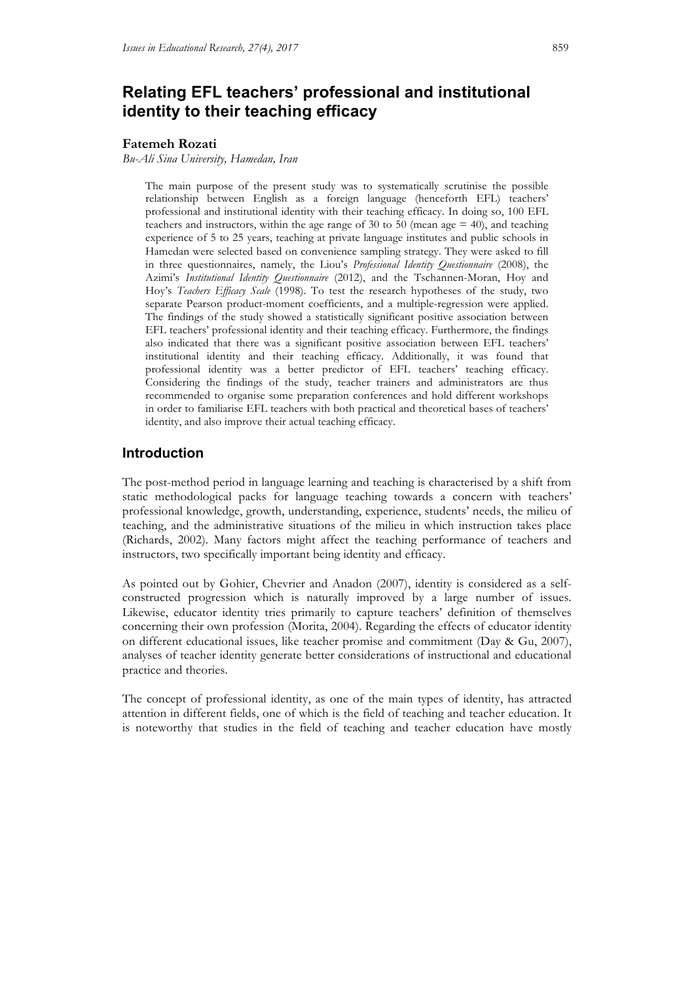# **Relating EFL teachers' professional and institutional identity to their teaching efficacy**

#### **Fatemeh Rozati**

*Bu-Ali Sina University, Hamedan, Iran*

The main purpose of the present study was to systematically scrutinise the possible relationship between English as a foreign language (henceforth EFL) teachers' professional and institutional identity with their teaching efficacy. In doing so, 100 EFL teachers and instructors, within the age range of 30 to 50 (mean age  $=$  40), and teaching experience of 5 to 25 years, teaching at private language institutes and public schools in Hamedan were selected based on convenience sampling strategy. They were asked to fill in three questionnaires, namely, the Liou's *Professional Identity Questionnaire* (2008), the Azimi's *Institutional Identity Questionnaire* (2012), and the Tschannen-Moran, Hoy and Hoy's *Teachers Efficacy Scale* (1998). To test the research hypotheses of the study, two separate Pearson product-moment coefficients, and a multiple-regression were applied. The findings of the study showed a statistically significant positive association between EFL teachers' professional identity and their teaching efficacy. Furthermore, the findings also indicated that there was a significant positive association between EFL teachers' institutional identity and their teaching efficacy. Additionally, it was found that professional identity was a better predictor of EFL teachers' teaching efficacy. Considering the findings of the study, teacher trainers and administrators are thus recommended to organise some preparation conferences and hold different workshops in order to familiarise EFL teachers with both practical and theoretical bases of teachers' identity, and also improve their actual teaching efficacy.

## **Introduction**

The post-method period in language learning and teaching is characterised by a shift from static methodological packs for language teaching towards a concern with teachers' professional knowledge, growth, understanding, experience, students' needs, the milieu of teaching, and the administrative situations of the milieu in which instruction takes place (Richards, 2002). Many factors might affect the teaching performance of teachers and instructors, two specifically important being identity and efficacy.

As pointed out by Gohier, Chevrier and Anadon (2007), identity is considered as a selfconstructed progression which is naturally improved by a large number of issues. Likewise, educator identity tries primarily to capture teachers' definition of themselves concerning their own profession (Morita, 2004). Regarding the effects of educator identity on different educational issues, like teacher promise and commitment (Day & Gu, 2007), analyses of teacher identity generate better considerations of instructional and educational practice and theories.

The concept of professional identity, as one of the main types of identity, has attracted attention in different fields, one of which is the field of teaching and teacher education. It is noteworthy that studies in the field of teaching and teacher education have mostly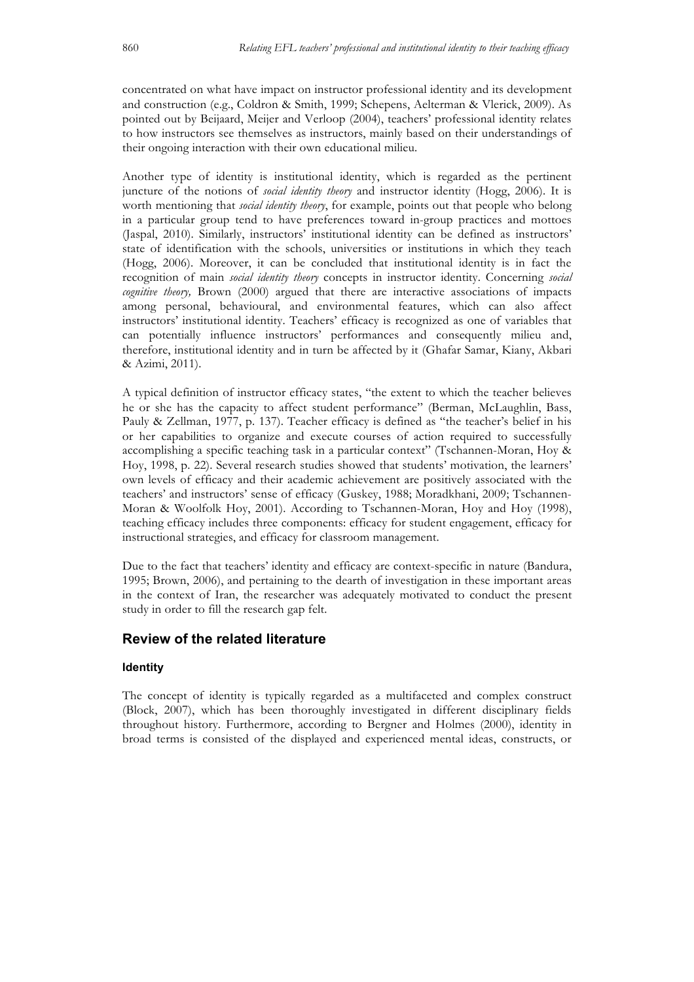concentrated on what have impact on instructor professional identity and its development and construction (e.g., Coldron & Smith, 1999; Schepens, Aelterman & Vlerick, 2009). As pointed out by Beijaard, Meijer and Verloop (2004), teachers' professional identity relates to how instructors see themselves as instructors, mainly based on their understandings of their ongoing interaction with their own educational milieu.

Another type of identity is institutional identity, which is regarded as the pertinent juncture of the notions of *social identity theory* and instructor identity (Hogg, 2006). It is worth mentioning that *social identity theory*, for example, points out that people who belong in a particular group tend to have preferences toward in-group practices and mottoes (Jaspal, 2010). Similarly, instructors' institutional identity can be defined as instructors' state of identification with the schools, universities or institutions in which they teach (Hogg, 2006). Moreover, it can be concluded that institutional identity is in fact the recognition of main *social identity theory* concepts in instructor identity. Concerning *social cognitive theory,* Brown (2000) argued that there are interactive associations of impacts among personal, behavioural, and environmental features, which can also affect instructors' institutional identity. Teachers' efficacy is recognized as one of variables that can potentially influence instructors' performances and consequently milieu and, therefore, institutional identity and in turn be affected by it (Ghafar Samar, Kiany, Akbari & Azimi, 2011).

A typical definition of instructor efficacy states, "the extent to which the teacher believes he or she has the capacity to affect student performance" (Berman, McLaughlin, Bass, Pauly & Zellman, 1977, p. 137). Teacher efficacy is defined as "the teacher's belief in his or her capabilities to organize and execute courses of action required to successfully accomplishing a specific teaching task in a particular context" (Tschannen-Moran, Hoy & Hoy, 1998, p. 22). Several research studies showed that students' motivation, the learners' own levels of efficacy and their academic achievement are positively associated with the teachers' and instructors' sense of efficacy (Guskey, 1988; Moradkhani, 2009; Tschannen-Moran & Woolfolk Hoy, 2001). According to Tschannen-Moran, Hoy and Hoy (1998), teaching efficacy includes three components: efficacy for student engagement, efficacy for instructional strategies, and efficacy for classroom management.

Due to the fact that teachers' identity and efficacy are context-specific in nature (Bandura, 1995; Brown, 2006), and pertaining to the dearth of investigation in these important areas in the context of Iran, the researcher was adequately motivated to conduct the present study in order to fill the research gap felt.

## **Review of the related literature**

### **Identity**

The concept of identity is typically regarded as a multifaceted and complex construct (Block, 2007), which has been thoroughly investigated in different disciplinary fields throughout history. Furthermore, according to Bergner and Holmes (2000), identity in broad terms is consisted of the displayed and experienced mental ideas, constructs, or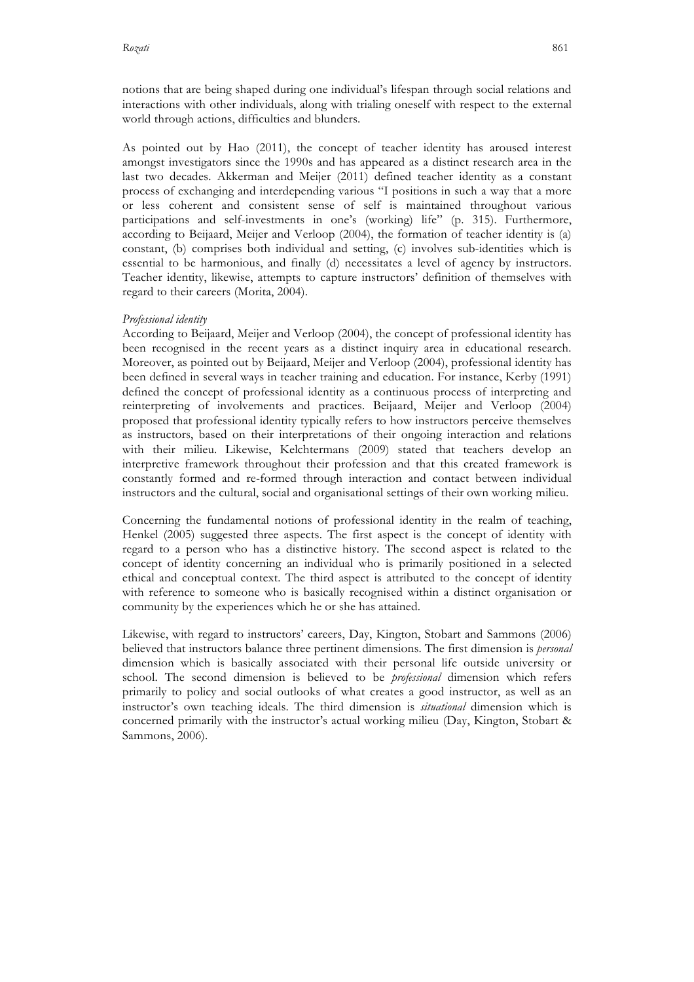notions that are being shaped during one individual's lifespan through social relations and interactions with other individuals, along with trialing oneself with respect to the external world through actions, difficulties and blunders.

As pointed out by Hao (2011), the concept of teacher identity has aroused interest amongst investigators since the 1990s and has appeared as a distinct research area in the last two decades. Akkerman and Meijer (2011) defined teacher identity as a constant process of exchanging and interdepending various "I positions in such a way that a more or less coherent and consistent sense of self is maintained throughout various participations and self-investments in one's (working) life" (p. 315). Furthermore, according to Beijaard, Meijer and Verloop (2004), the formation of teacher identity is (a) constant, (b) comprises both individual and setting, (c) involves sub-identities which is essential to be harmonious, and finally (d) necessitates a level of agency by instructors. Teacher identity, likewise, attempts to capture instructors' definition of themselves with regard to their careers (Morita, 2004).

#### *Professional identity*

According to Beijaard, Meijer and Verloop (2004), the concept of professional identity has been recognised in the recent years as a distinct inquiry area in educational research. Moreover, as pointed out by Beijaard, Meijer and Verloop (2004), professional identity has been defined in several ways in teacher training and education. For instance, Kerby (1991) defined the concept of professional identity as a continuous process of interpreting and reinterpreting of involvements and practices. Beijaard, Meijer and Verloop (2004) proposed that professional identity typically refers to how instructors perceive themselves as instructors, based on their interpretations of their ongoing interaction and relations with their milieu. Likewise, Kelchtermans (2009) stated that teachers develop an interpretive framework throughout their profession and that this created framework is constantly formed and re-formed through interaction and contact between individual instructors and the cultural, social and organisational settings of their own working milieu.

Concerning the fundamental notions of professional identity in the realm of teaching, Henkel (2005) suggested three aspects. The first aspect is the concept of identity with regard to a person who has a distinctive history. The second aspect is related to the concept of identity concerning an individual who is primarily positioned in a selected ethical and conceptual context. The third aspect is attributed to the concept of identity with reference to someone who is basically recognised within a distinct organisation or community by the experiences which he or she has attained.

Likewise, with regard to instructors' careers, Day, Kington, Stobart and Sammons (2006) believed that instructors balance three pertinent dimensions. The first dimension is *personal* dimension which is basically associated with their personal life outside university or school. The second dimension is believed to be *professional* dimension which refers primarily to policy and social outlooks of what creates a good instructor, as well as an instructor's own teaching ideals. The third dimension is *situational* dimension which is concerned primarily with the instructor's actual working milieu (Day, Kington, Stobart & Sammons, 2006).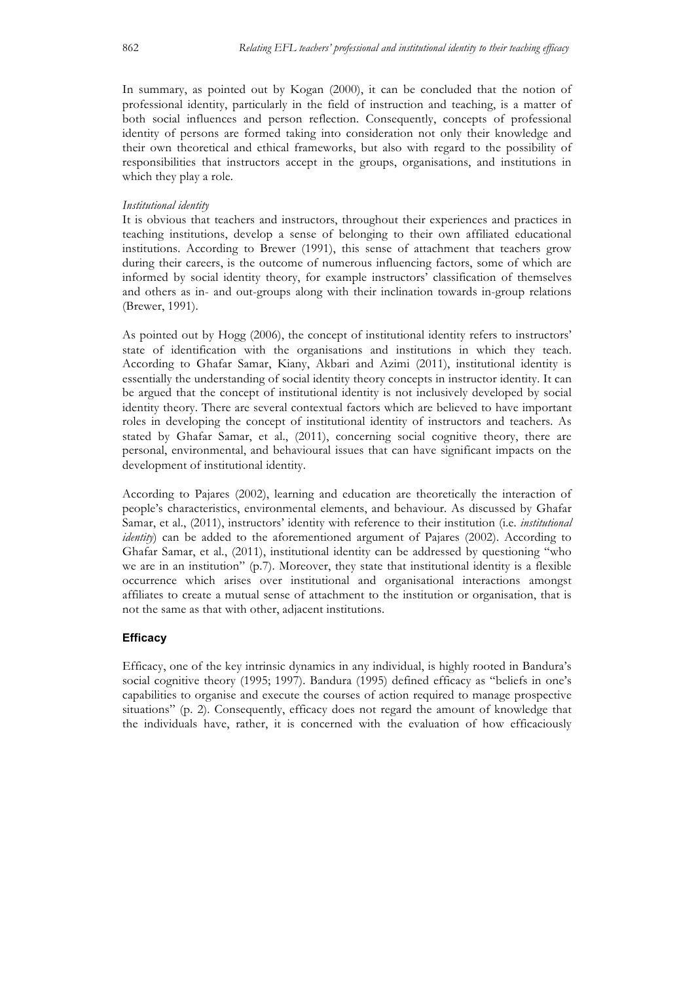In summary, as pointed out by Kogan (2000), it can be concluded that the notion of professional identity, particularly in the field of instruction and teaching, is a matter of both social influences and person reflection. Consequently, concepts of professional identity of persons are formed taking into consideration not only their knowledge and their own theoretical and ethical frameworks, but also with regard to the possibility of responsibilities that instructors accept in the groups, organisations, and institutions in which they play a role.

#### *Institutional identity*

It is obvious that teachers and instructors, throughout their experiences and practices in teaching institutions, develop a sense of belonging to their own affiliated educational institutions. According to Brewer (1991), this sense of attachment that teachers grow during their careers, is the outcome of numerous influencing factors, some of which are informed by social identity theory, for example instructors' classification of themselves and others as in- and out-groups along with their inclination towards in-group relations (Brewer, 1991).

As pointed out by Hogg (2006), the concept of institutional identity refers to instructors' state of identification with the organisations and institutions in which they teach. According to Ghafar Samar, Kiany, Akbari and Azimi (2011), institutional identity is essentially the understanding of social identity theory concepts in instructor identity. It can be argued that the concept of institutional identity is not inclusively developed by social identity theory. There are several contextual factors which are believed to have important roles in developing the concept of institutional identity of instructors and teachers. As stated by Ghafar Samar, et al., (2011), concerning social cognitive theory, there are personal, environmental, and behavioural issues that can have significant impacts on the development of institutional identity.

According to Pajares (2002), learning and education are theoretically the interaction of people's characteristics, environmental elements, and behaviour. As discussed by Ghafar Samar, et al., (2011), instructors' identity with reference to their institution (i.e. *institutional identity*) can be added to the aforementioned argument of Pajares (2002). According to Ghafar Samar, et al., (2011), institutional identity can be addressed by questioning "who we are in an institution" (p.7). Moreover, they state that institutional identity is a flexible occurrence which arises over institutional and organisational interactions amongst affiliates to create a mutual sense of attachment to the institution or organisation, that is not the same as that with other, adjacent institutions.

#### **Efficacy**

Efficacy, one of the key intrinsic dynamics in any individual, is highly rooted in Bandura's social cognitive theory (1995; 1997). Bandura (1995) defined efficacy as "beliefs in one's capabilities to organise and execute the courses of action required to manage prospective situations" (p. 2). Consequently, efficacy does not regard the amount of knowledge that the individuals have, rather, it is concerned with the evaluation of how efficaciously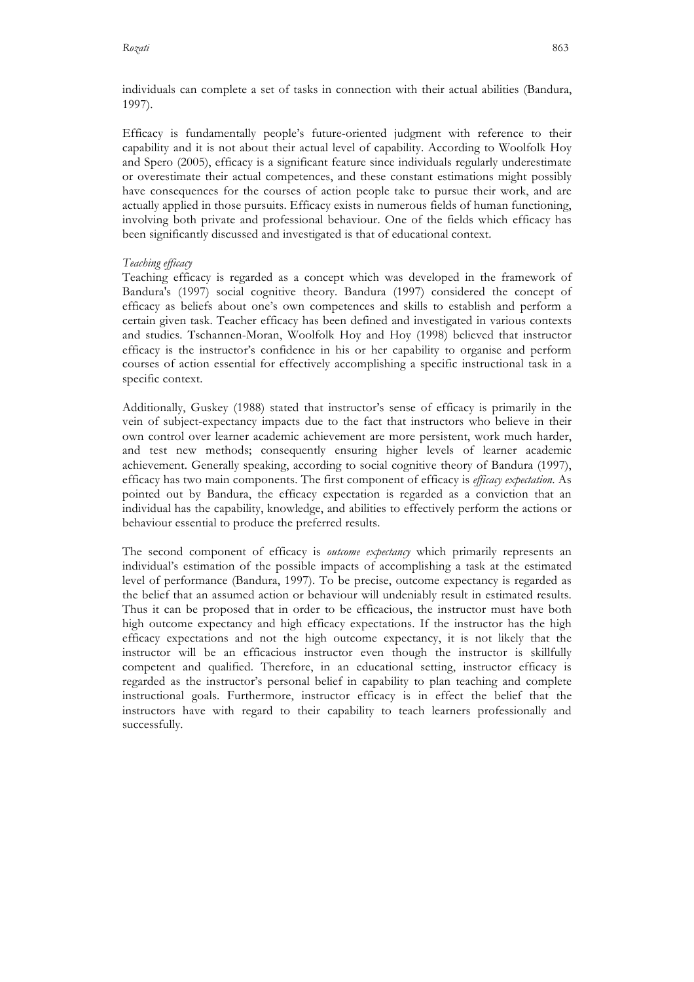individuals can complete a set of tasks in connection with their actual abilities (Bandura, 1997).

Efficacy is fundamentally people's future-oriented judgment with reference to their capability and it is not about their actual level of capability. According to Woolfolk Hoy and Spero (2005), efficacy is a significant feature since individuals regularly underestimate or overestimate their actual competences, and these constant estimations might possibly have consequences for the courses of action people take to pursue their work, and are actually applied in those pursuits. Efficacy exists in numerous fields of human functioning, involving both private and professional behaviour. One of the fields which efficacy has been significantly discussed and investigated is that of educational context.

#### *Teaching efficacy*

Teaching efficacy is regarded as a concept which was developed in the framework of Bandura's (1997) social cognitive theory. Bandura (1997) considered the concept of efficacy as beliefs about one's own competences and skills to establish and perform a certain given task. Teacher efficacy has been defined and investigated in various contexts and studies. Tschannen-Moran, Woolfolk Hoy and Hoy (1998) believed that instructor efficacy is the instructor's confidence in his or her capability to organise and perform courses of action essential for effectively accomplishing a specific instructional task in a specific context.

Additionally, Guskey (1988) stated that instructor's sense of efficacy is primarily in the vein of subject-expectancy impacts due to the fact that instructors who believe in their own control over learner academic achievement are more persistent, work much harder, and test new methods; consequently ensuring higher levels of learner academic achievement. Generally speaking, according to social cognitive theory of Bandura (1997), efficacy has two main components. The first component of efficacy is *efficacy expectation*. As pointed out by Bandura, the efficacy expectation is regarded as a conviction that an individual has the capability, knowledge, and abilities to effectively perform the actions or behaviour essential to produce the preferred results.

The second component of efficacy is *outcome expectancy* which primarily represents an individual's estimation of the possible impacts of accomplishing a task at the estimated level of performance (Bandura, 1997). To be precise, outcome expectancy is regarded as the belief that an assumed action or behaviour will undeniably result in estimated results. Thus it can be proposed that in order to be efficacious, the instructor must have both high outcome expectancy and high efficacy expectations. If the instructor has the high efficacy expectations and not the high outcome expectancy, it is not likely that the instructor will be an efficacious instructor even though the instructor is skillfully competent and qualified. Therefore, in an educational setting, instructor efficacy is regarded as the instructor's personal belief in capability to plan teaching and complete instructional goals. Furthermore, instructor efficacy is in effect the belief that the instructors have with regard to their capability to teach learners professionally and successfully.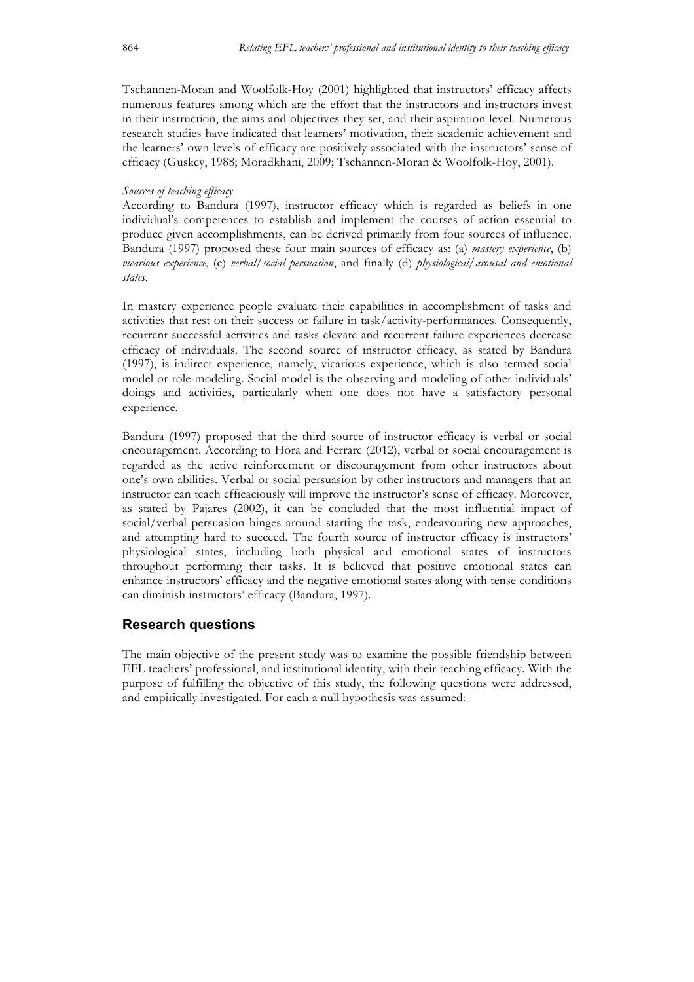Tschannen-Moran and Woolfolk-Hoy (2001) highlighted that instructors' efficacy affects numerous features among which are the effort that the instructors and instructors invest in their instruction, the aims and objectives they set, and their aspiration level. Numerous research studies have indicated that learners' motivation, their academic achievement and the learners' own levels of efficacy are positively associated with the instructors' sense of efficacy (Guskey, 1988; Moradkhani, 2009; Tschannen-Moran & Woolfolk-Hoy, 2001).

## *Sources of teaching efficacy*

According to Bandura (1997), instructor efficacy which is regarded as beliefs in one individual's competences to establish and implement the courses of action essential to produce given accomplishments, can be derived primarily from four sources of influence. Bandura (1997) proposed these four main sources of efficacy as: (a) *mastery experience*, (b) *vicarious experience*, (c) *verbal/social persuasion*, and finally (d) *physiological/arousal and emotional states*.

In mastery experience people evaluate their capabilities in accomplishment of tasks and activities that rest on their success or failure in task/activity-performances. Consequently, recurrent successful activities and tasks elevate and recurrent failure experiences decrease efficacy of individuals. The second source of instructor efficacy, as stated by Bandura (1997), is indirect experience, namely, vicarious experience, which is also termed social model or role-modeling. Social model is the observing and modeling of other individuals' doings and activities, particularly when one does not have a satisfactory personal experience.

Bandura (1997) proposed that the third source of instructor efficacy is verbal or social encouragement. According to Hora and Ferrare (2012), verbal or social encouragement is regarded as the active reinforcement or discouragement from other instructors about one's own abilities. Verbal or social persuasion by other instructors and managers that an instructor can teach efficaciously will improve the instructor's sense of efficacy. Moreover, as stated by Pajares (2002), it can be concluded that the most influential impact of social/verbal persuasion hinges around starting the task, endeavouring new approaches, and attempting hard to succeed. The fourth source of instructor efficacy is instructors' physiological states, including both physical and emotional states of instructors throughout performing their tasks. It is believed that positive emotional states can enhance instructors' efficacy and the negative emotional states along with tense conditions can diminish instructors' efficacy (Bandura, 1997).

## **Research questions**

The main objective of the present study was to examine the possible friendship between EFL teachers' professional, and institutional identity, with their teaching efficacy. With the purpose of fulfilling the objective of this study, the following questions were addressed, and empirically investigated. For each a null hypothesis was assumed: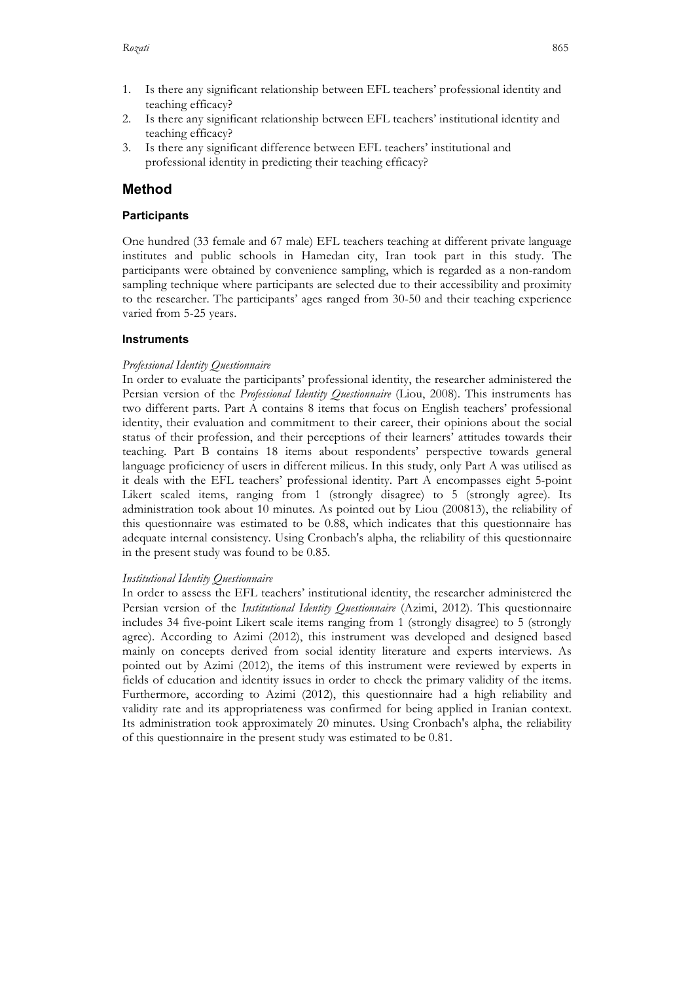- 2. Is there any significant relationship between EFL teachers' institutional identity and teaching efficacy?
- 3. Is there any significant difference between EFL teachers' institutional and professional identity in predicting their teaching efficacy?

## **Method**

## **Participants**

One hundred (33 female and 67 male) EFL teachers teaching at different private language institutes and public schools in Hamedan city, Iran took part in this study. The participants were obtained by convenience sampling, which is regarded as a non-random sampling technique where participants are selected due to their accessibility and proximity to the researcher. The participants' ages ranged from 30-50 and their teaching experience varied from 5-25 years.

## **Instruments**

## *Professional Identity Questionnaire*

In order to evaluate the participants' professional identity, the researcher administered the Persian version of the *Professional Identity Questionnaire* (Liou, 2008). This instruments has two different parts. Part A contains 8 items that focus on English teachers' professional identity, their evaluation and commitment to their career, their opinions about the social status of their profession, and their perceptions of their learners' attitudes towards their teaching. Part B contains 18 items about respondents' perspective towards general language proficiency of users in different milieus. In this study, only Part A was utilised as it deals with the EFL teachers' professional identity. Part A encompasses eight 5-point Likert scaled items, ranging from 1 (strongly disagree) to 5 (strongly agree). Its administration took about 10 minutes. As pointed out by Liou (200813), the reliability of this questionnaire was estimated to be 0.88, which indicates that this questionnaire has adequate internal consistency. Using Cronbach's alpha, the reliability of this questionnaire in the present study was found to be 0.85.

### *Institutional Identity Questionnaire*

In order to assess the EFL teachers' institutional identity, the researcher administered the Persian version of the *Institutional Identity Questionnaire* (Azimi, 2012). This questionnaire includes 34 five-point Likert scale items ranging from 1 (strongly disagree) to 5 (strongly agree). According to Azimi (2012), this instrument was developed and designed based mainly on concepts derived from social identity literature and experts interviews. As pointed out by Azimi (2012), the items of this instrument were reviewed by experts in fields of education and identity issues in order to check the primary validity of the items. Furthermore, according to Azimi (2012), this questionnaire had a high reliability and validity rate and its appropriateness was confirmed for being applied in Iranian context. Its administration took approximately 20 minutes. Using Cronbach's alpha, the reliability of this questionnaire in the present study was estimated to be 0.81.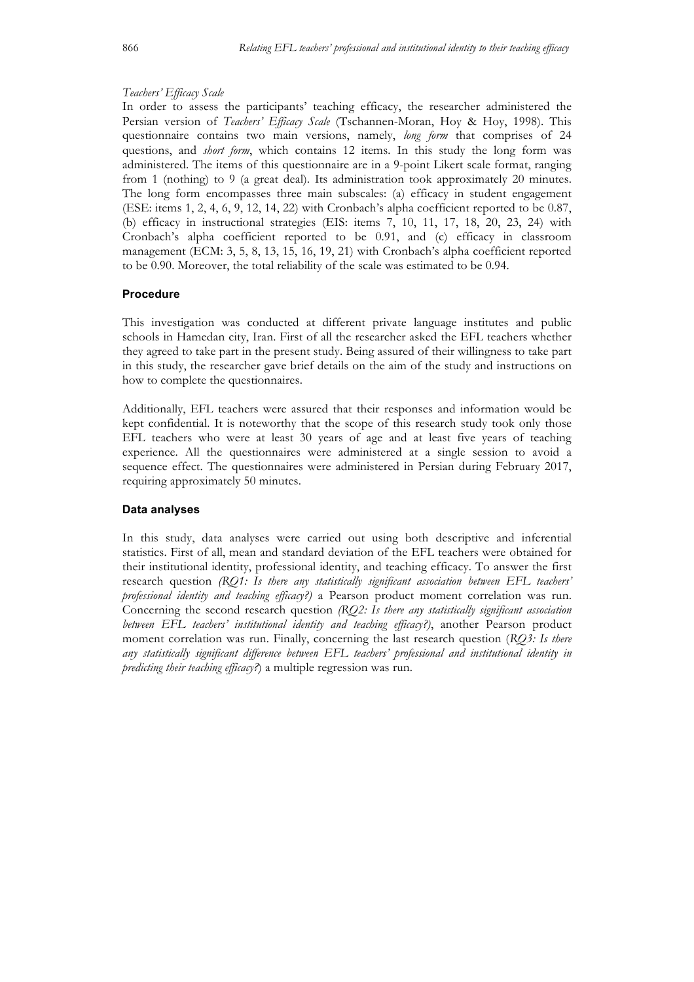#### *Teachers' Efficacy Scale*

In order to assess the participants' teaching efficacy, the researcher administered the Persian version of *Teachers' Efficacy Scale* (Tschannen-Moran, Hoy & Hoy, 1998). This questionnaire contains two main versions, namely, *long form* that comprises of 24 questions, and *short form*, which contains 12 items. In this study the long form was administered. The items of this questionnaire are in a 9-point Likert scale format, ranging from 1 (nothing) to 9 (a great deal). Its administration took approximately 20 minutes. The long form encompasses three main subscales: (a) efficacy in student engagement (ESE: items 1, 2, 4, 6, 9, 12, 14, 22) with Cronbach's alpha coefficient reported to be 0.87, (b) efficacy in instructional strategies (EIS: items 7, 10, 11, 17, 18, 20, 23, 24) with Cronbach's alpha coefficient reported to be 0.91, and (c) efficacy in classroom management (ECM: 3, 5, 8, 13, 15, 16, 19, 21) with Cronbach's alpha coefficient reported to be 0.90. Moreover, the total reliability of the scale was estimated to be 0.94.

#### **Procedure**

This investigation was conducted at different private language institutes and public schools in Hamedan city, Iran. First of all the researcher asked the EFL teachers whether they agreed to take part in the present study. Being assured of their willingness to take part in this study, the researcher gave brief details on the aim of the study and instructions on how to complete the questionnaires.

Additionally, EFL teachers were assured that their responses and information would be kept confidential. It is noteworthy that the scope of this research study took only those EFL teachers who were at least 30 years of age and at least five years of teaching experience. All the questionnaires were administered at a single session to avoid a sequence effect. The questionnaires were administered in Persian during February 2017, requiring approximately 50 minutes.

#### **Data analyses**

In this study, data analyses were carried out using both descriptive and inferential statistics. First of all, mean and standard deviation of the EFL teachers were obtained for their institutional identity, professional identity, and teaching efficacy. To answer the first research question *(RQ1: Is there any statistically significant association between EFL teachers' professional identity and teaching efficacy?)* a Pearson product moment correlation was run. Concerning the second research question *(RQ2: Is there any statistically significant association between EFL teachers' institutional identity and teaching efficacy?)*, another Pearson product moment correlation was run. Finally, concerning the last research question (*RQ3: Is there any statistically significant difference between EFL teachers' professional and institutional identity in predicting their teaching efficacy?*) a multiple regression was run.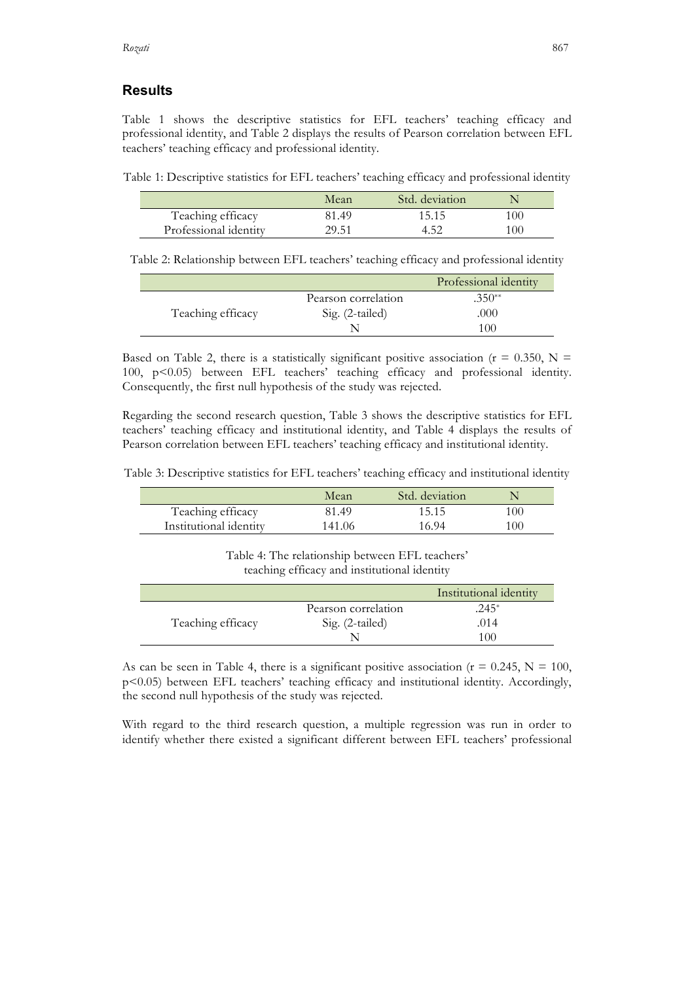## **Results**

Table 1 shows the descriptive statistics for EFL teachers' teaching efficacy and professional identity, and Table 2 displays the results of Pearson correlation between EFL teachers' teaching efficacy and professional identity.

Table 1: Descriptive statistics for EFL teachers' teaching efficacy and professional identity

|                       | Mean  | Std. deviation |     |
|-----------------------|-------|----------------|-----|
| Teaching efficacy     | 81.49 | 15.15          | 100 |
| Professional identity | 29.51 |                | 100 |

Table 2: Relationship between EFL teachers' teaching efficacy and professional identity

|                   |                     | Professional identity |
|-------------------|---------------------|-----------------------|
|                   | Pearson correlation | $.350**$              |
| Teaching efficacy | Sig. (2-tailed)     | .000                  |
|                   |                     | 100                   |

Based on Table 2, there is a statistically significant positive association ( $r = 0.350$ , N = 100, p<0.05) between EFL teachers' teaching efficacy and professional identity. Consequently, the first null hypothesis of the study was rejected.

Regarding the second research question, Table 3 shows the descriptive statistics for EFL teachers' teaching efficacy and institutional identity, and Table 4 displays the results of Pearson correlation between EFL teachers' teaching efficacy and institutional identity.

Table 3: Descriptive statistics for EFL teachers' teaching efficacy and institutional identity

|                        | Mean   | Std. deviation |     |
|------------------------|--------|----------------|-----|
| Teaching efficacy      | 81.49  | 15.15          | 100 |
| Institutional identity | 141.06 | 16.94          | 100 |

Table 4: The relationship between EFL teachers' teaching efficacy and institutional identity

|                   |                     | Institutional identity |
|-------------------|---------------------|------------------------|
|                   | Pearson correlation | .245*                  |
| Teaching efficacy | Sig. (2-tailed)     | .014                   |
|                   |                     | 100                    |

As can be seen in Table 4, there is a significant positive association ( $r = 0.245$ ,  $N = 100$ , p<0.05) between EFL teachers' teaching efficacy and institutional identity. Accordingly, the second null hypothesis of the study was rejected.

With regard to the third research question, a multiple regression was run in order to identify whether there existed a significant different between EFL teachers' professional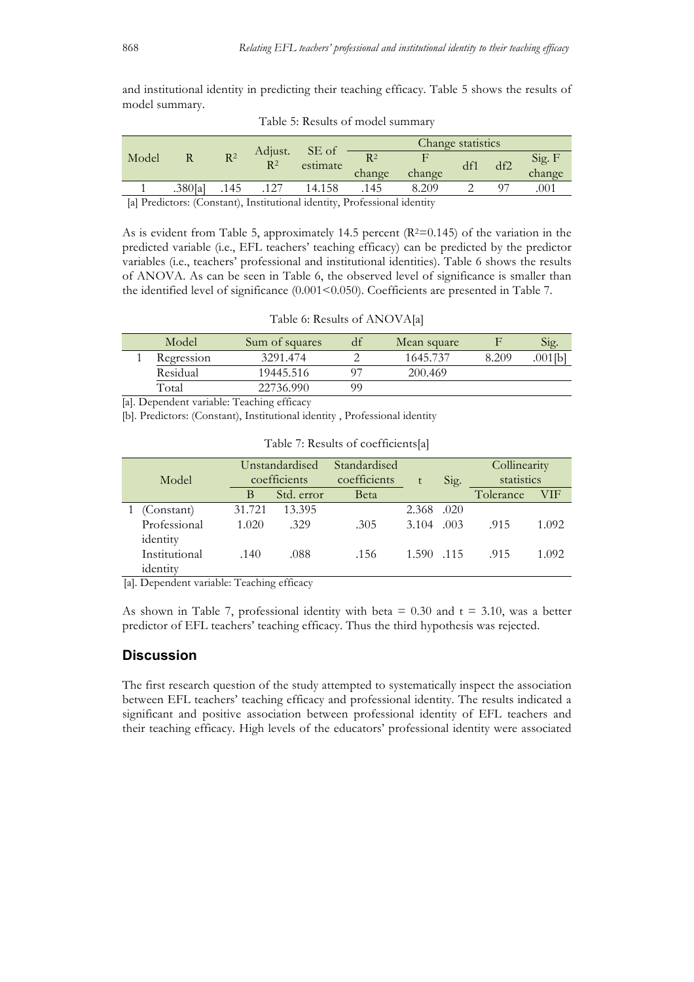and institutional identity in predicting their teaching efficacy. Table 5 shows the results of model summary.

|                                                                         |         |                |                  | SE of    | Change statistics |        |     |     |        |
|-------------------------------------------------------------------------|---------|----------------|------------------|----------|-------------------|--------|-----|-----|--------|
| Model                                                                   |         | R <sup>2</sup> | Adjust.<br>$R^2$ | estimate | R <sup>2</sup>    |        | df1 | df2 | Sig. F |
|                                                                         |         |                |                  |          | change            | change |     |     | change |
|                                                                         | .380[a] | .145           | .127             | 14.158   | .145              | 8.209  |     |     | 001    |
| [a] Predictors: (Constant) Institutional identity Professional identity |         |                |                  |          |                   |        |     |     |        |

Table 5: Results of model summary

[a] Predictors: (Constant), Institutional identity, Professional identity

As is evident from Table 5, approximately 14.5 percent  $(R^2=0.145)$  of the variation in the predicted variable (i.e., EFL teachers' teaching efficacy) can be predicted by the predictor variables (i.e., teachers' professional and institutional identities). Table 6 shows the results of ANOVA. As can be seen in Table 6, the observed level of significance is smaller than the identified level of significance (0.001<0.050). Coefficients are presented in Table 7.

| Model      | Sum of squares |    | Mean square |       | Sig.    |
|------------|----------------|----|-------------|-------|---------|
| Regression | 3291.474       |    | 1645.737    | 8.209 | .001fb] |
| Residual   | 19445.516      |    | 200.469     |       |         |
| Total      | 22736.990      | 90 |             |       |         |

Table 6: Results of ANOVA[a]

[a]. Dependent variable: Teaching efficacy

[b]. Predictors: (Constant), Institutional identity , Professional identity

| Model                     | Unstandardised<br>coefficients |            | Standardised<br>coefficients |           | Sig. | Collinearity<br>statistics |       |
|---------------------------|--------------------------------|------------|------------------------------|-----------|------|----------------------------|-------|
|                           | В                              | Std. error | <b>B</b> eta                 |           |      | Tolerance                  | VIF   |
| (Constant)                | 31.721                         | 13.395     |                              | 2.368     | .020 |                            |       |
| Professional<br>identity  | 1.020                          | .329       | .305                         | 3.104     | .003 | .915                       | 1.092 |
| Institutional<br>identity | .140                           | .088       | .156                         | 1.590 115 |      | .915                       | 1.092 |

[a]. Dependent variable: Teaching efficacy

As shown in Table 7, professional identity with beta  $= 0.30$  and  $t = 3.10$ , was a better predictor of EFL teachers' teaching efficacy. Thus the third hypothesis was rejected.

### **Discussion**

The first research question of the study attempted to systematically inspect the association between EFL teachers' teaching efficacy and professional identity. The results indicated a significant and positive association between professional identity of EFL teachers and their teaching efficacy. High levels of the educators' professional identity were associated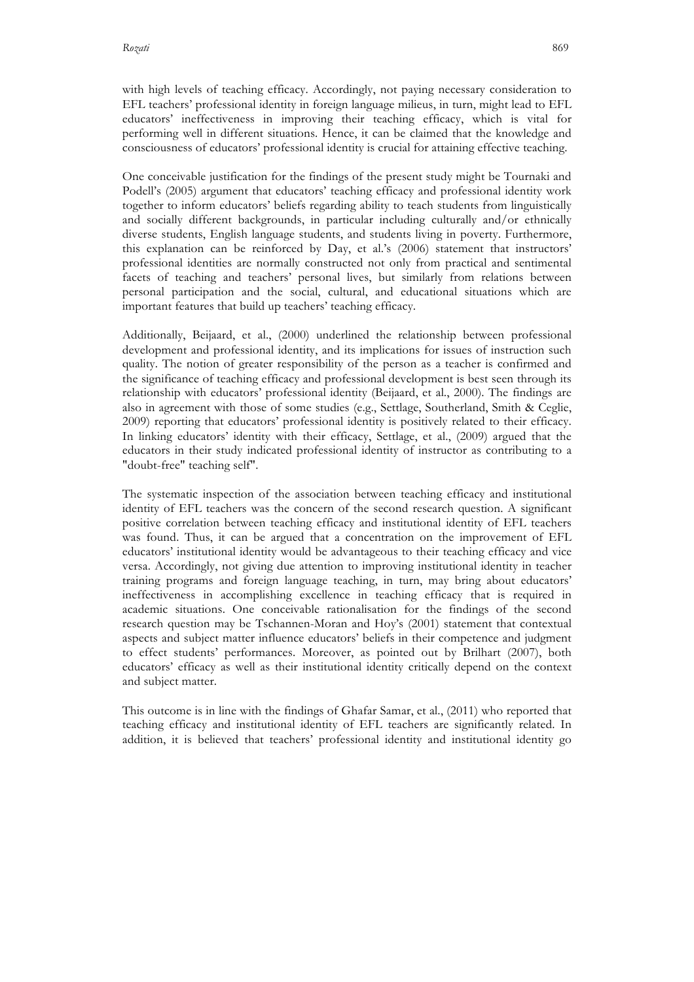with high levels of teaching efficacy. Accordingly, not paying necessary consideration to EFL teachers' professional identity in foreign language milieus, in turn, might lead to EFL educators' ineffectiveness in improving their teaching efficacy, which is vital for performing well in different situations. Hence, it can be claimed that the knowledge and consciousness of educators' professional identity is crucial for attaining effective teaching.

One conceivable justification for the findings of the present study might be Tournaki and Podell's (2005) argument that educators' teaching efficacy and professional identity work together to inform educators' beliefs regarding ability to teach students from linguistically and socially different backgrounds, in particular including culturally and/or ethnically diverse students, English language students, and students living in poverty. Furthermore, this explanation can be reinforced by Day, et al.'s (2006) statement that instructors' professional identities are normally constructed not only from practical and sentimental facets of teaching and teachers' personal lives, but similarly from relations between personal participation and the social, cultural, and educational situations which are important features that build up teachers' teaching efficacy.

Additionally, Beijaard, et al., (2000) underlined the relationship between professional development and professional identity, and its implications for issues of instruction such quality. The notion of greater responsibility of the person as a teacher is confirmed and the significance of teaching efficacy and professional development is best seen through its relationship with educators' professional identity (Beijaard, et al., 2000). The findings are also in agreement with those of some studies (e.g., Settlage, Southerland, Smith & Ceglie, 2009) reporting that educators' professional identity is positively related to their efficacy. In linking educators' identity with their efficacy, Settlage, et al., (2009) argued that the educators in their study indicated professional identity of instructor as contributing to a "doubt-free" teaching self".

The systematic inspection of the association between teaching efficacy and institutional identity of EFL teachers was the concern of the second research question. A significant positive correlation between teaching efficacy and institutional identity of EFL teachers was found. Thus, it can be argued that a concentration on the improvement of EFL educators' institutional identity would be advantageous to their teaching efficacy and vice versa. Accordingly, not giving due attention to improving institutional identity in teacher training programs and foreign language teaching, in turn, may bring about educators' ineffectiveness in accomplishing excellence in teaching efficacy that is required in academic situations. One conceivable rationalisation for the findings of the second research question may be Tschannen-Moran and Hoy's (2001) statement that contextual aspects and subject matter influence educators' beliefs in their competence and judgment to effect students' performances. Moreover, as pointed out by Brilhart (2007), both educators' efficacy as well as their institutional identity critically depend on the context and subject matter.

This outcome is in line with the findings of Ghafar Samar, et al., (2011) who reported that teaching efficacy and institutional identity of EFL teachers are significantly related. In addition, it is believed that teachers' professional identity and institutional identity go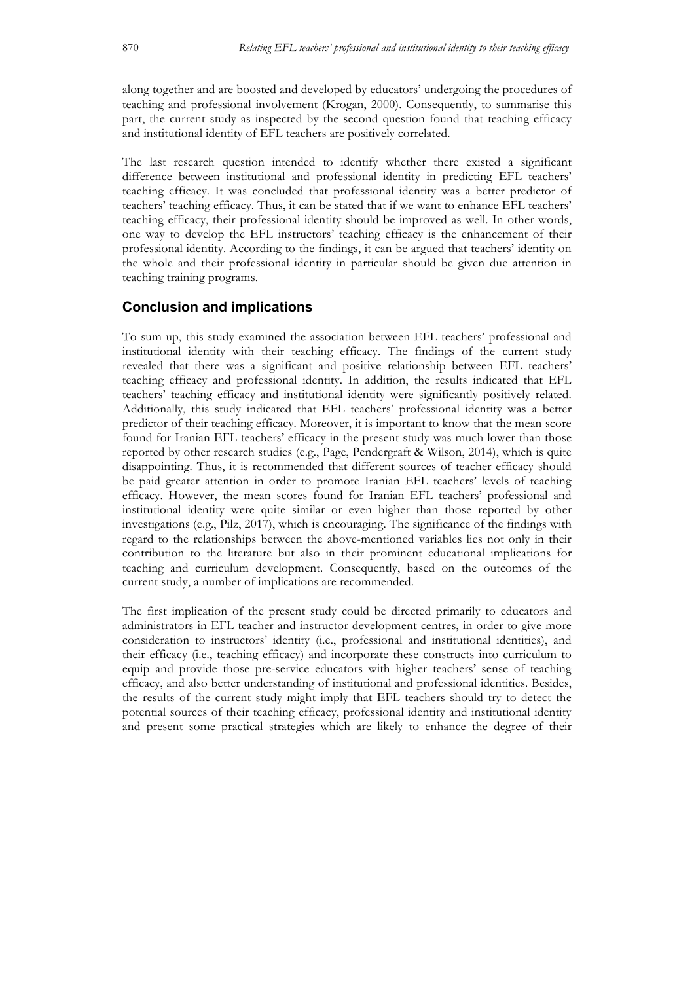along together and are boosted and developed by educators' undergoing the procedures of teaching and professional involvement (Krogan, 2000). Consequently, to summarise this part, the current study as inspected by the second question found that teaching efficacy and institutional identity of EFL teachers are positively correlated.

The last research question intended to identify whether there existed a significant difference between institutional and professional identity in predicting EFL teachers' teaching efficacy. It was concluded that professional identity was a better predictor of teachers' teaching efficacy. Thus, it can be stated that if we want to enhance EFL teachers' teaching efficacy, their professional identity should be improved as well. In other words, one way to develop the EFL instructors' teaching efficacy is the enhancement of their professional identity. According to the findings, it can be argued that teachers' identity on the whole and their professional identity in particular should be given due attention in teaching training programs.

## **Conclusion and implications**

To sum up, this study examined the association between EFL teachers' professional and institutional identity with their teaching efficacy. The findings of the current study revealed that there was a significant and positive relationship between EFL teachers' teaching efficacy and professional identity. In addition, the results indicated that EFL teachers' teaching efficacy and institutional identity were significantly positively related. Additionally, this study indicated that EFL teachers' professional identity was a better predictor of their teaching efficacy. Moreover, it is important to know that the mean score found for Iranian EFL teachers' efficacy in the present study was much lower than those reported by other research studies (e.g., Page, Pendergraft & Wilson, 2014), which is quite disappointing. Thus, it is recommended that different sources of teacher efficacy should be paid greater attention in order to promote Iranian EFL teachers' levels of teaching efficacy. However, the mean scores found for Iranian EFL teachers' professional and institutional identity were quite similar or even higher than those reported by other investigations (e.g., Pilz, 2017), which is encouraging. The significance of the findings with regard to the relationships between the above-mentioned variables lies not only in their contribution to the literature but also in their prominent educational implications for teaching and curriculum development. Consequently, based on the outcomes of the current study, a number of implications are recommended.

The first implication of the present study could be directed primarily to educators and administrators in EFL teacher and instructor development centres, in order to give more consideration to instructors' identity (i.e., professional and institutional identities), and their efficacy (i.e., teaching efficacy) and incorporate these constructs into curriculum to equip and provide those pre-service educators with higher teachers' sense of teaching efficacy, and also better understanding of institutional and professional identities. Besides, the results of the current study might imply that EFL teachers should try to detect the potential sources of their teaching efficacy, professional identity and institutional identity and present some practical strategies which are likely to enhance the degree of their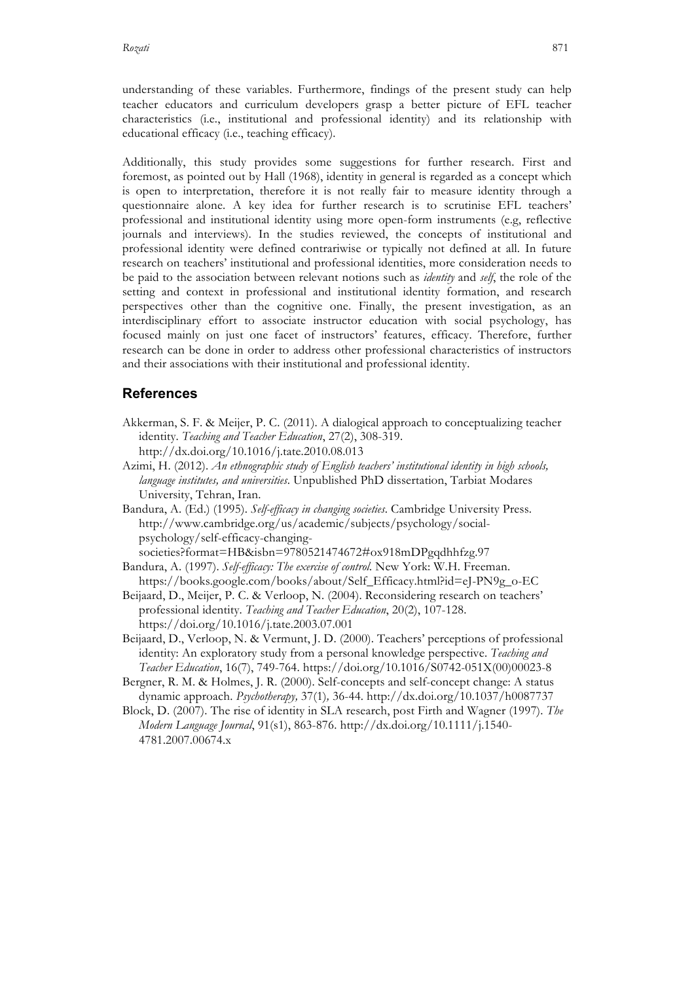understanding of these variables. Furthermore, findings of the present study can help teacher educators and curriculum developers grasp a better picture of EFL teacher characteristics (i.e., institutional and professional identity) and its relationship with educational efficacy (i.e., teaching efficacy).

Additionally, this study provides some suggestions for further research. First and foremost, as pointed out by Hall (1968), identity in general is regarded as a concept which is open to interpretation, therefore it is not really fair to measure identity through a questionnaire alone. A key idea for further research is to scrutinise EFL teachers' professional and institutional identity using more open-form instruments (e.g, reflective journals and interviews). In the studies reviewed, the concepts of institutional and professional identity were defined contrariwise or typically not defined at all. In future research on teachers' institutional and professional identities, more consideration needs to be paid to the association between relevant notions such as *identity* and *self*, the role of the setting and context in professional and institutional identity formation, and research perspectives other than the cognitive one. Finally, the present investigation, as an interdisciplinary effort to associate instructor education with social psychology, has focused mainly on just one facet of instructors' features, efficacy. Therefore, further research can be done in order to address other professional characteristics of instructors and their associations with their institutional and professional identity.

## **References**

- Akkerman, S. F. & Meijer, P. C. (2011). A dialogical approach to conceptualizing teacher identity. *Teaching and Teacher Education*, 27(2), 308-319. http://dx.doi.org/10.1016/j.tate.2010.08.013
- Azimi, H. (2012). *An ethnographic study of English teachers' institutional identity in high schools, language institutes, and universities*. Unpublished PhD dissertation, Tarbiat Modares University, Tehran, Iran.
- Bandura, A. (Ed.) (1995). *Self-efficacy in changing societies*. Cambridge University Press. http://www.cambridge.org/us/academic/subjects/psychology/socialpsychology/self-efficacy-changingsocieties?format=HB&isbn=9780521474672#ox918mDPgqdhhfzg.97

Bandura, A. (1997). *Self-efficacy: The exercise of control.* New York: W.H. Freeman. https://books.google.com/books/about/Self\_Efficacy.html?id=eJ-PN9g\_o-EC

- Beijaard, D., Meijer, P. C. & Verloop, N. (2004). Reconsidering research on teachers' professional identity. *Teaching and Teacher Education*, 20(2), 107-128. https://doi.org/10.1016/j.tate.2003.07.001
- Beijaard, D., Verloop, N. & Vermunt, J. D. (2000). Teachers' perceptions of professional identity: An exploratory study from a personal knowledge perspective. *Teaching and Teacher Education*, 16(7), 749-764. https://doi.org/10.1016/S0742-051X(00)00023-8
- Bergner, R. M. & Holmes, J. R. (2000). Self-concepts and self-concept change: A status dynamic approach. *Psychotherapy,* 37(1)*,* 36-44. http://dx.doi.org/10.1037/h0087737
- Block, D. (2007). The rise of identity in SLA research, post Firth and Wagner (1997). *The Modern Language Journal*, 91(s1), 863-876. http://dx.doi.org/10.1111/j.1540- 4781.2007.00674.x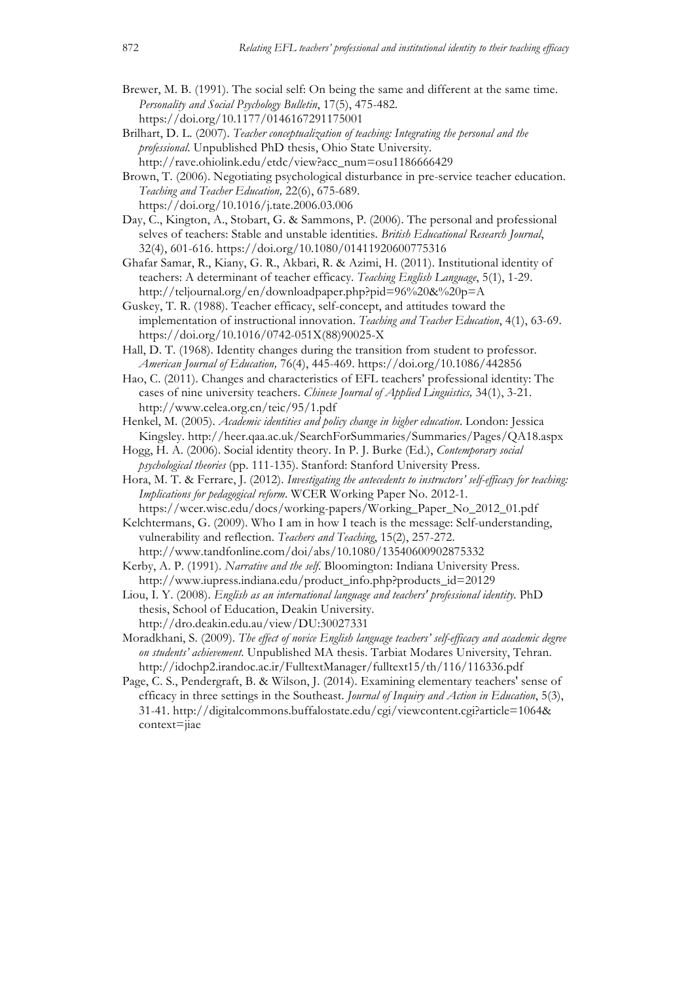- Brewer, M. B. (1991). The social self: On being the same and different at the same time. *Personality and Social Psychology Bulletin*, 17(5), 475-482. https://doi.org/10.1177/0146167291175001
- Brilhart, D. L. (2007). *Teacher conceptualization of teaching: Integrating the personal and the professional*. Unpublished PhD thesis, Ohio State University. http://rave.ohiolink.edu/etdc/view?acc\_num=osu1186666429
- Brown, T. (2006). Negotiating psychological disturbance in pre-service teacher education. *Teaching and Teacher Education,* 22(6), 675-689. https://doi.org/10.1016/j.tate.2006.03.006
- Day, C., Kington, A., Stobart, G. & Sammons, P. (2006). The personal and professional selves of teachers: Stable and unstable identities. *British Educational Research Journal*, 32(4), 601-616. https://doi.org/10.1080/01411920600775316
- Ghafar Samar, R., Kiany, G. R., Akbari, R. & Azimi, H. (2011). Institutional identity of teachers: A determinant of teacher efficacy. *Teaching English Language*, 5(1), 1-29. http://teljournal.org/en/downloadpaper.php?pid=96%20&%20p=A
- Guskey, T. R. (1988). Teacher efficacy, self-concept, and attitudes toward the implementation of instructional innovation. *Teaching and Teacher Education*, 4(1), 63-69. https://doi.org/10.1016/0742-051X(88)90025-X
- Hall, D. T. (1968). Identity changes during the transition from student to professor. *American Journal of Education,* 76(4), 445-469. https://doi.org/10.1086/442856
- Hao, C. (2011). Changes and characteristics of EFL teachers' professional identity: The cases of nine university teachers. *Chinese Journal of Applied Linguistics,* 34(1), 3-21. http://www.celea.org.cn/teic/95/1.pdf
- Henkel, M. (2005). *Academic identities and policy change in higher education*. London: Jessica Kingsley. http://heer.qaa.ac.uk/SearchForSummaries/Summaries/Pages/QA18.aspx
- Hogg, H. A. (2006). Social identity theory. In P. J. Burke (Ed.), *Contemporary social psychological theories* (pp. 111-135). Stanford: Stanford University Press.
- Hora, M. T. & Ferrare, J. (2012). *Investigating the antecedents to instructors' self-efficacy for teaching: Implications for pedagogical reform*. WCER Working Paper No. 2012-1.

https://wcer.wisc.edu/docs/working-papers/Working\_Paper\_No\_2012\_01.pdf Kelchtermans, G. (2009). Who I am in how I teach is the message: Self-understanding,

vulnerability and reflection. *Teachers and Teaching*, 15(2), 257-272. http://www.tandfonline.com/doi/abs/10.1080/13540600902875332

- Kerby, A. P. (1991). *Narrative and the self*. Bloomington: Indiana University Press. http://www.iupress.indiana.edu/product\_info.php?products\_id=20129
- Liou, I. Y. (2008). *English as an international language and teachers' professional identity.* PhD thesis, School of Education, Deakin University. http://dro.deakin.edu.au/view/DU:30027331
- Moradkhani, S. (2009). *The effect of novice English language teachers' self-efficacy and academic degree on students' achievement*. Unpublished MA thesis. Tarbiat Modares University, Tehran. http://idochp2.irandoc.ac.ir/FulltextManager/fulltext15/th/116/116336.pdf
- Page, C. S., Pendergraft, B. & Wilson, J. (2014). Examining elementary teachers' sense of efficacy in three settings in the Southeast. *Journal of Inquiry and Action in Education*, 5(3), 31-41. http://digitalcommons.buffalostate.edu/cgi/viewcontent.cgi?article=1064& context=jiae